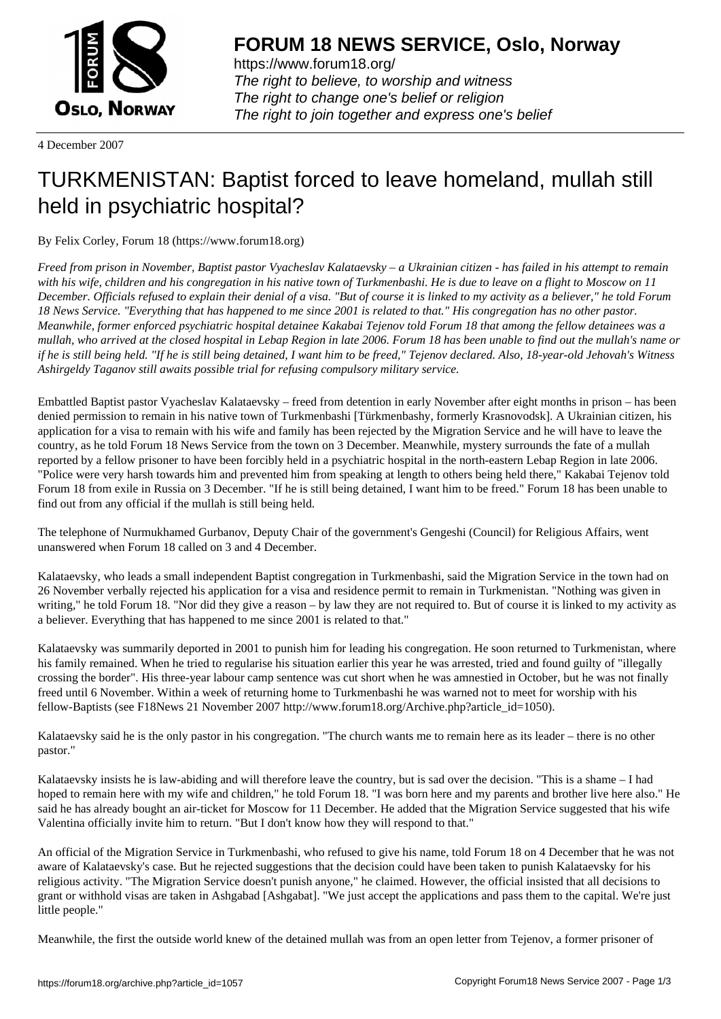

https://www.forum18.org/ The right to believe, to worship and witness The right to change one's belief or religion [The right to join together a](https://www.forum18.org/)nd express one's belief

4 December 2007

## [TURKMENISTA](https://www.forum18.org)N: Baptist forced to leave homeland, mullah still held in psychiatric hospital?

By Felix Corley, Forum 18 (https://www.forum18.org)

*Freed from prison in November, Baptist pastor Vyacheslav Kalataevsky – a Ukrainian citizen - has failed in his attempt to remain with his wife, children and his congregation in his native town of Turkmenbashi. He is due to leave on a flight to Moscow on 11 December. Officials refused to explain their denial of a visa. "But of course it is linked to my activity as a believer," he told Forum 18 News Service. "Everything that has happened to me since 2001 is related to that." His congregation has no other pastor. Meanwhile, former enforced psychiatric hospital detainee Kakabai Tejenov told Forum 18 that among the fellow detainees was a mullah, who arrived at the closed hospital in Lebap Region in late 2006. Forum 18 has been unable to find out the mullah's name or if he is still being held. "If he is still being detained, I want him to be freed," Tejenov declared. Also, 18-year-old Jehovah's Witness Ashirgeldy Taganov still awaits possible trial for refusing compulsory military service.*

Embattled Baptist pastor Vyacheslav Kalataevsky – freed from detention in early November after eight months in prison – has been denied permission to remain in his native town of Turkmenbashi [Türkmenbashy, formerly Krasnovodsk]. A Ukrainian citizen, his application for a visa to remain with his wife and family has been rejected by the Migration Service and he will have to leave the country, as he told Forum 18 News Service from the town on 3 December. Meanwhile, mystery surrounds the fate of a mullah reported by a fellow prisoner to have been forcibly held in a psychiatric hospital in the north-eastern Lebap Region in late 2006. "Police were very harsh towards him and prevented him from speaking at length to others being held there," Kakabai Tejenov told Forum 18 from exile in Russia on 3 December. "If he is still being detained, I want him to be freed." Forum 18 has been unable to find out from any official if the mullah is still being held.

The telephone of Nurmukhamed Gurbanov, Deputy Chair of the government's Gengeshi (Council) for Religious Affairs, went unanswered when Forum 18 called on 3 and 4 December.

Kalataevsky, who leads a small independent Baptist congregation in Turkmenbashi, said the Migration Service in the town had on 26 November verbally rejected his application for a visa and residence permit to remain in Turkmenistan. "Nothing was given in writing," he told Forum 18. "Nor did they give a reason – by law they are not required to. But of course it is linked to my activity as a believer. Everything that has happened to me since 2001 is related to that."

Kalataevsky was summarily deported in 2001 to punish him for leading his congregation. He soon returned to Turkmenistan, where his family remained. When he tried to regularise his situation earlier this year he was arrested, tried and found guilty of "illegally crossing the border". His three-year labour camp sentence was cut short when he was amnestied in October, but he was not finally freed until 6 November. Within a week of returning home to Turkmenbashi he was warned not to meet for worship with his fellow-Baptists (see F18News 21 November 2007 http://www.forum18.org/Archive.php?article\_id=1050).

Kalataevsky said he is the only pastor in his congregation. "The church wants me to remain here as its leader – there is no other pastor."

Kalataevsky insists he is law-abiding and will therefore leave the country, but is sad over the decision. "This is a shame – I had hoped to remain here with my wife and children," he told Forum 18. "I was born here and my parents and brother live here also." He said he has already bought an air-ticket for Moscow for 11 December. He added that the Migration Service suggested that his wife Valentina officially invite him to return. "But I don't know how they will respond to that."

An official of the Migration Service in Turkmenbashi, who refused to give his name, told Forum 18 on 4 December that he was not aware of Kalataevsky's case. But he rejected suggestions that the decision could have been taken to punish Kalataevsky for his religious activity. "The Migration Service doesn't punish anyone," he claimed. However, the official insisted that all decisions to grant or withhold visas are taken in Ashgabad [Ashgabat]. "We just accept the applications and pass them to the capital. We're just little people."

Meanwhile, the first the outside world knew of the detained mullah was from an open letter from Tejenov, a former prisoner of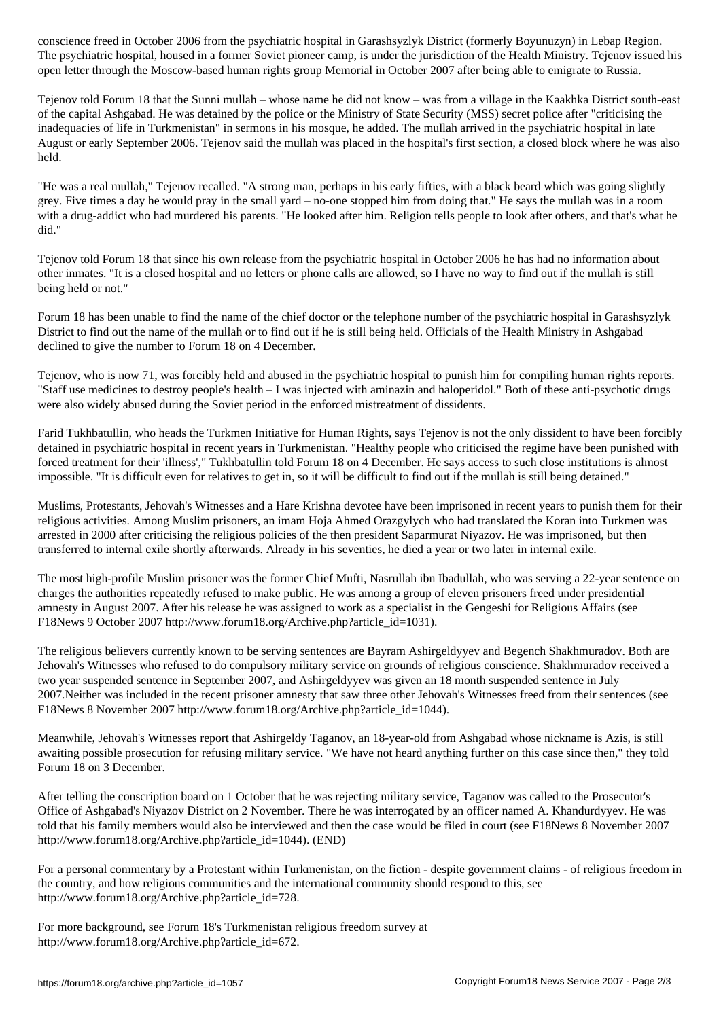The psychiatric hospital, housed in a former Soviet pioneer camp, is under the jurisdiction of the Health Ministry. Tejenov issued his open letter through the Moscow-based human rights group Memorial in October 2007 after being able to emigrate to Russia.

Tejenov told Forum 18 that the Sunni mullah – whose name he did not know – was from a village in the Kaakhka District south-east of the capital Ashgabad. He was detained by the police or the Ministry of State Security (MSS) secret police after "criticising the inadequacies of life in Turkmenistan" in sermons in his mosque, he added. The mullah arrived in the psychiatric hospital in late August or early September 2006. Tejenov said the mullah was placed in the hospital's first section, a closed block where he was also held.

"He was a real mullah," Tejenov recalled. "A strong man, perhaps in his early fifties, with a black beard which was going slightly grey. Five times a day he would pray in the small yard – no-one stopped him from doing that." He says the mullah was in a room with a drug-addict who had murdered his parents. "He looked after him. Religion tells people to look after others, and that's what he did."

Tejenov told Forum 18 that since his own release from the psychiatric hospital in October 2006 he has had no information about other inmates. "It is a closed hospital and no letters or phone calls are allowed, so I have no way to find out if the mullah is still being held or not."

Forum 18 has been unable to find the name of the chief doctor or the telephone number of the psychiatric hospital in Garashsyzlyk District to find out the name of the mullah or to find out if he is still being held. Officials of the Health Ministry in Ashgabad declined to give the number to Forum 18 on 4 December.

Tejenov, who is now 71, was forcibly held and abused in the psychiatric hospital to punish him for compiling human rights reports. "Staff use medicines to destroy people's health – I was injected with aminazin and haloperidol." Both of these anti-psychotic drugs were also widely abused during the Soviet period in the enforced mistreatment of dissidents.

Farid Tukhbatullin, who heads the Turkmen Initiative for Human Rights, says Tejenov is not the only dissident to have been forcibly detained in psychiatric hospital in recent years in Turkmenistan. "Healthy people who criticised the regime have been punished with forced treatment for their 'illness'," Tukhbatullin told Forum 18 on 4 December. He says access to such close institutions is almost impossible. "It is difficult even for relatives to get in, so it will be difficult to find out if the mullah is still being detained."

Muslims, Protestants, Jehovah's Witnesses and a Hare Krishna devotee have been imprisoned in recent years to punish them for their religious activities. Among Muslim prisoners, an imam Hoja Ahmed Orazgylych who had translated the Koran into Turkmen was arrested in 2000 after criticising the religious policies of the then president Saparmurat Niyazov. He was imprisoned, but then transferred to internal exile shortly afterwards. Already in his seventies, he died a year or two later in internal exile.

The most high-profile Muslim prisoner was the former Chief Mufti, Nasrullah ibn Ibadullah, who was serving a 22-year sentence on charges the authorities repeatedly refused to make public. He was among a group of eleven prisoners freed under presidential amnesty in August 2007. After his release he was assigned to work as a specialist in the Gengeshi for Religious Affairs (see F18News 9 October 2007 http://www.forum18.org/Archive.php?article\_id=1031).

The religious believers currently known to be serving sentences are Bayram Ashirgeldyyev and Begench Shakhmuradov. Both are Jehovah's Witnesses who refused to do compulsory military service on grounds of religious conscience. Shakhmuradov received a two year suspended sentence in September 2007, and Ashirgeldyyev was given an 18 month suspended sentence in July 2007.Neither was included in the recent prisoner amnesty that saw three other Jehovah's Witnesses freed from their sentences (see F18News 8 November 2007 http://www.forum18.org/Archive.php?article\_id=1044).

Meanwhile, Jehovah's Witnesses report that Ashirgeldy Taganov, an 18-year-old from Ashgabad whose nickname is Azis, is still awaiting possible prosecution for refusing military service. "We have not heard anything further on this case since then," they told Forum 18 on 3 December.

After telling the conscription board on 1 October that he was rejecting military service, Taganov was called to the Prosecutor's Office of Ashgabad's Niyazov District on 2 November. There he was interrogated by an officer named A. Khandurdyyev. He was told that his family members would also be interviewed and then the case would be filed in court (see F18News 8 November 2007 http://www.forum18.org/Archive.php?article\_id=1044). (END)

For a personal commentary by a Protestant within Turkmenistan, on the fiction - despite government claims - of religious freedom in the country, and how religious communities and the international community should respond to this, see http://www.forum18.org/Archive.php?article\_id=728.

For more background, see Forum 18's Turkmenistan religious freedom survey at http://www.forum18.org/Archive.php?article\_id=672.